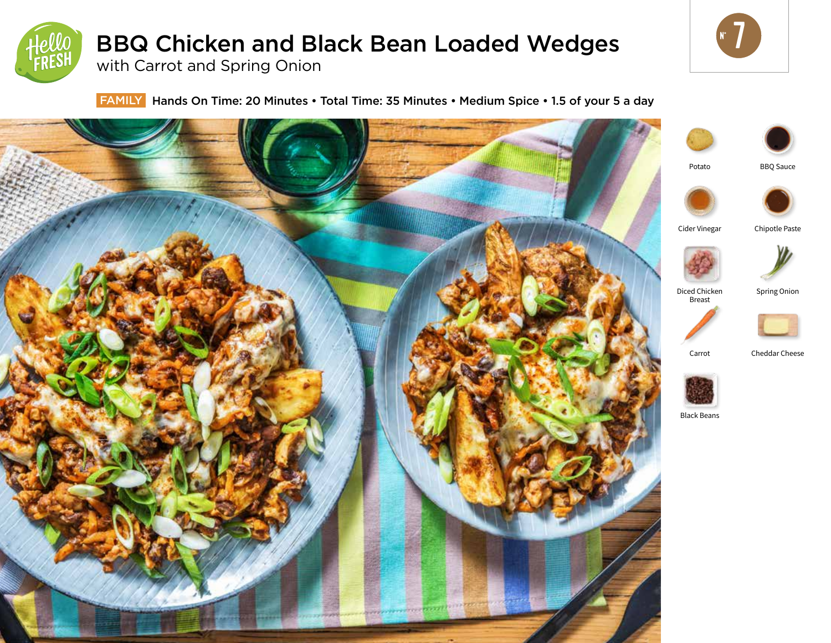

# BBQ Chicken and Black Bean Loaded Wedges

with Carrot and Spring Onion

## **FAMILY** Hands On Time: 20 Minutes • Total Time: 35 Minutes • Medium Spice • 1.5 of your 5 a day